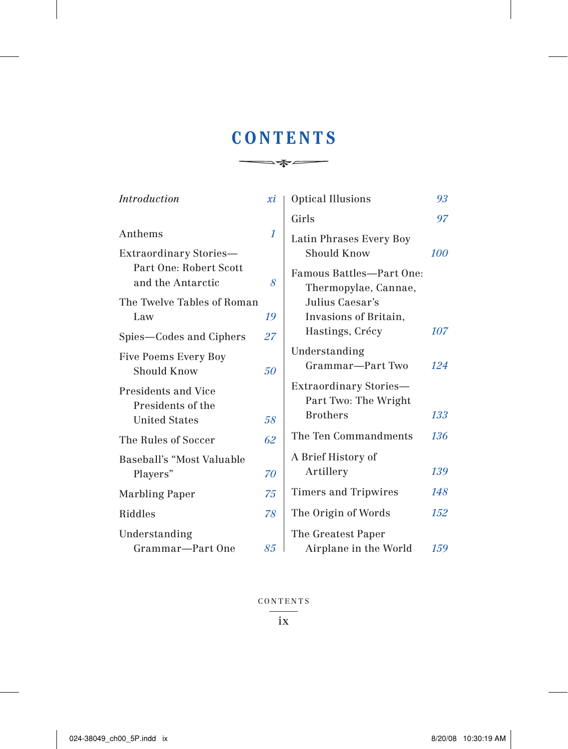## **CONTENTS**  $\longrightarrow$

| <i>Introduction</i>                 |    | Optical Illusions           |     |  |
|-------------------------------------|----|-----------------------------|-----|--|
|                                     |    | Girls                       | 97  |  |
| Anthems                             | 1  | Latin Phrases Every Boy     |     |  |
| Extraordinary Stories-              |    | Should Know                 | 100 |  |
| Part One: Robert Scott              |    | Famous Battles-Part One:    |     |  |
| and the Antarctic                   | 8  | Thermopylae, Cannae,        |     |  |
| The Twelve Tables of Roman          |    | Julius Caesar's             |     |  |
| Law                                 | 19 | Invasions of Britain,       |     |  |
| Spies-Codes and Ciphers             | 27 | Hastings, Crécy             | 107 |  |
| Five Poems Every Boy<br>Should Know |    | Understanding               |     |  |
|                                     |    | Grammar-Part Two            | 124 |  |
| Presidents and Vice                 |    | Extraordinary Stories-      |     |  |
| Presidents of the                   |    | Part Two: The Wright        |     |  |
| <b>United States</b>                | 58 | <b>Brothers</b>             | 133 |  |
| The Rules of Soccer                 | 62 | The Ten Commandments        | 136 |  |
| Baseball's "Most Valuable           |    | A Brief History of          |     |  |
| Players"                            | 70 | Artillery                   | 139 |  |
| Marbling Paper                      | 75 | <b>Timers and Tripwires</b> | 148 |  |
| <b>Riddles</b>                      | 78 | The Origin of Words         | 152 |  |
| Understanding                       |    | The Greatest Paper          |     |  |
| Grammar-Part One                    | 85 | Airplane in the World       | 159 |  |

CONTENTS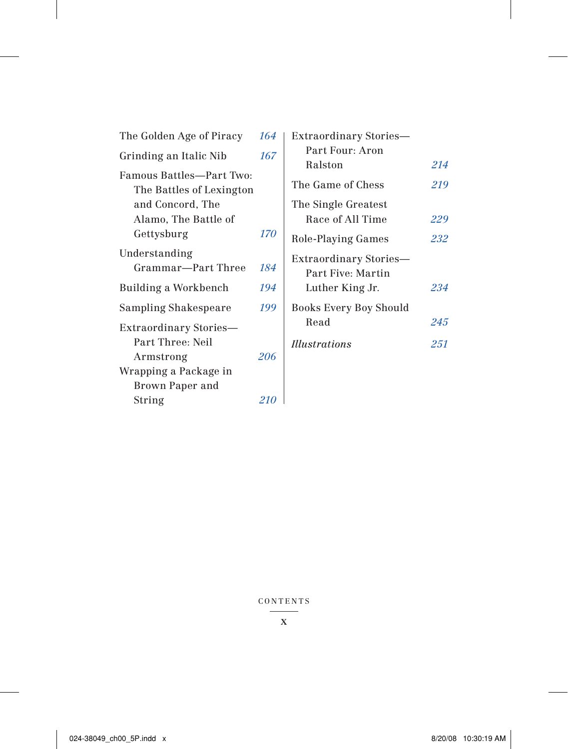| The Golden Age of Piracy                                                                                       | 164 |  |  |
|----------------------------------------------------------------------------------------------------------------|-----|--|--|
| Grinding an Italic Nib                                                                                         |     |  |  |
| Famous Battles—Part Two:<br>The Battles of Lexington<br>and Concord, The<br>Alamo, The Battle of<br>Gettysburg | 170 |  |  |
| Understanding<br>Grammar-Part Three                                                                            |     |  |  |
| Building a Workbench                                                                                           |     |  |  |
| Sampling Shakespeare                                                                                           | 199 |  |  |
| Extraordinary Stories-<br>Part Three: Neil<br>Armstrong                                                        | 206 |  |  |
| Wrapping a Package in<br>Brown Paper and                                                                       |     |  |  |
| String                                                                                                         | 210 |  |  |

| Extraordinary Stories-        |     |
|-------------------------------|-----|
| Part Four: Aron               |     |
| Ralston                       | 214 |
| The Game of Chess             | 219 |
| The Single Greatest           |     |
| Race of All Time              | 229 |
| Role-Playing Games            | 232 |
| Extraordinary Stories-        |     |
| Part Five: Martin             |     |
| Luther King Jr.               | 234 |
| <b>Books Every Boy Should</b> |     |
| Read                          | 245 |
| <i>Illustrations</i>          | 251 |
|                               |     |

## CONTENTS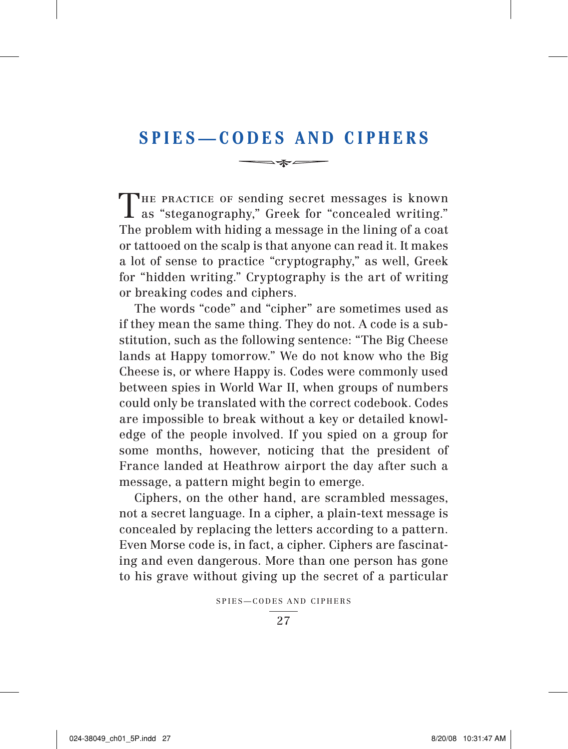## **SPIES—CODES AND CIPHERS**  $\Longrightarrow$   $\star$   $\equiv$

THE PRACTICE OF sending secret messages is known<br>as "steganography," Greek for "concealed writing." The problem with hiding a message in the lining of a coat or tattooed on the scalp is that anyone can read it. It makes a lot of sense to practice "cryptography," as well, Greek for "hidden writing." Cryptography is the art of writing or breaking codes and ciphers.

The words "code" and "cipher" are sometimes used as if they mean the same thing. They do not. A code is a substitution, such as the following sentence: "The Big Cheese lands at Happy tomorrow." We do not know who the Big Cheese is, or where Happy is. Codes were commonly used between spies in World War II, when groups of numbers could only be translated with the correct codebook. Codes are impossible to break without a key or detailed knowledge of the people involved. If you spied on a group for some months, however, noticing that the president of France landed at Heathrow airport the day after such a message, a pattern might begin to emerge.

Ciphers, on the other hand, are scrambled messages, not a secret language. In a cipher, a plain- text message is concealed by replacing the letters according to a pattern. Even Morse code is, in fact, a cipher. Ciphers are fascinating and even dangerous. More than one person has gone to his grave without giving up the secret of a particular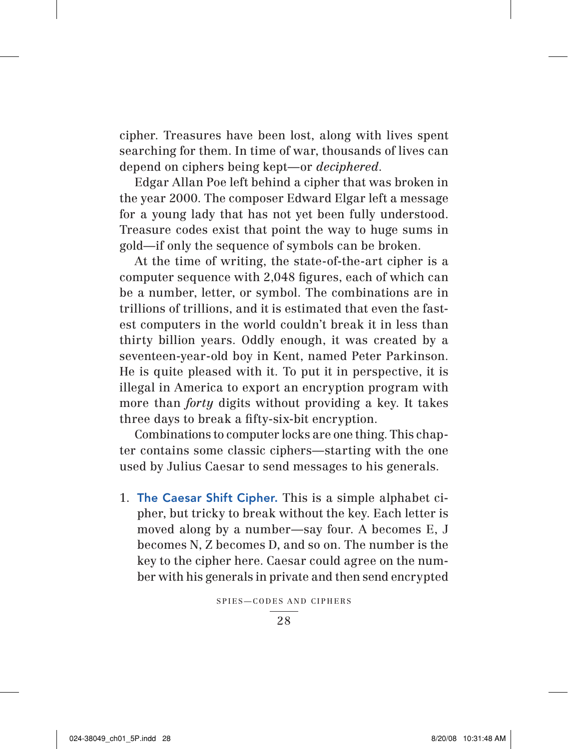cipher. Treasures have been lost, along with lives spent searching for them. In time of war, thousands of lives can depend on ciphers being kept—or *deciphered*.

Edgar Allan Poe left behind a cipher that was broken in the year 2000. The composer Edward Elgar left a message for a young lady that has not yet been fully understood. Treasure codes exist that point the way to huge sums in gold—if only the sequence of symbols can be broken.

At the time of writing, the state-of-the-art cipher is a computer sequence with 2,048 figures, each of which can be a number, letter, or symbol. The combinations are in trillions of trillions, and it is estimated that even the fastest computers in the world couldn't break it in less than thirty billion years. Oddly enough, it was created by a seventeen- year- old boy in Kent, named Peter Parkinson. He is quite pleased with it. To put it in perspective, it is illegal in America to export an encryption program with more than *forty* digits without providing a key. It takes three days to break a fifty-six-bit encryption.

Combinations to computer locks are one thing. This chapter contains some classic ciphers—starting with the one used by Julius Caesar to send messages to his generals.

1. **The Caesar Shift Cipher.** This is a simple alphabet cipher, but tricky to break without the key. Each letter is moved along by a number—say four. A becomes E, J becomes N, Z becomes D, and so on. The number is the key to the cipher here. Caesar could agree on the number with his generals in private and then send encrypted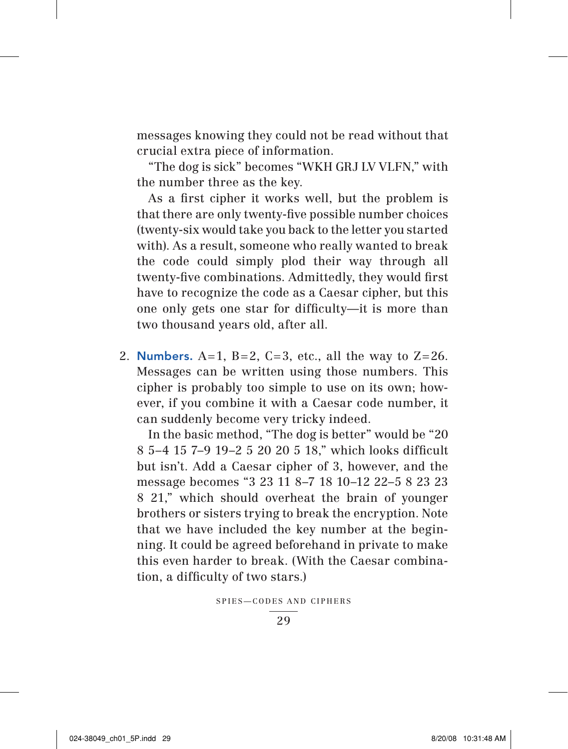messages knowing they could not be read without that crucial extra piece of information.

"The dog is sick" becomes "WKH GRJ LV VLFN," with the number three as the key.

As a first cipher it works well, but the problem is that there are only twenty-five possible number choices (twenty- six would take you back to the letter you started with). As a result, someone who really wanted to break the code could simply plod their way through all twenty-five combinations. Admittedly, they would first have to recognize the code as a Caesar cipher, but this one only gets one star for difficulty—it is more than two thousand years old, after all.

2. **Numbers.** A=1, B=2, C=3, etc., all the way to  $Z=26$ . Messages can be written using those numbers. This cipher is probably too simple to use on its own; however, if you combine it with a Caesar code number, it can suddenly become very tricky indeed.

In the basic method, "The dog is better" would be "20  $85-4157-919-252020518$ ," which looks difficult but isn't. Add a Caesar cipher of 3, however, and the message becomes "3 23 11 8–7 18 10–12 22–5 8 23 23 8 21," which should overheat the brain of younger brothers or sisters trying to break the encryption. Note that we have included the key number at the beginning. It could be agreed beforehand in private to make this even harder to break. (With the Caesar combination, a difficulty of two stars.)

SPIES—CODES AND CIPHERS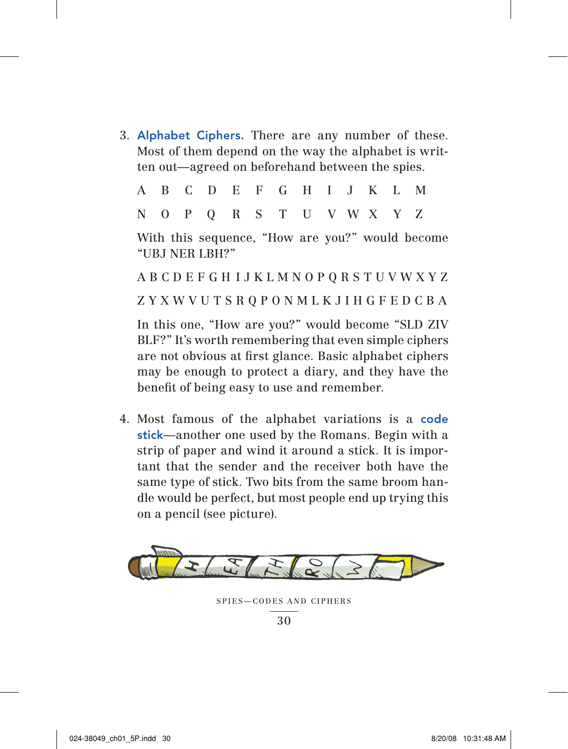3. **Alphabet Ciphers.** There are any number of these. Most of them depend on the way the alphabet is written out—agreed on beforehand between the spies.

|  |  |  | A B C D E F G H I J K L M |  |  |  |
|--|--|--|---------------------------|--|--|--|
|  |  |  | N O P Q R S T U V W X Y Z |  |  |  |

With this sequence, "How are you?" would become "UBJ NER LBH?"

A B C D E F G H I J K L M N O P Q R S T U V W X Y Z Z Y X W V U T S R Q P O N M L K J I H G F E D C B A In this one, "How are you?" would become "SLD ZIV BLF?" It's worth remembering that even simple ciphers are not obvious at first glance. Basic alphabet ciphers may be enough to protect a diary, and they have the benefit of being easy to use and remember.

4. Most famous of the alphabet variations is a **code stick**—another one used by the Romans. Begin with a strip of paper and wind it around a stick. It is important that the sender and the receiver both have the same type of stick. Two bits from the same broom handle would be perfect, but most people end up trying this on a pencil (see picture).



SPIES—CODES AND CIPHERS